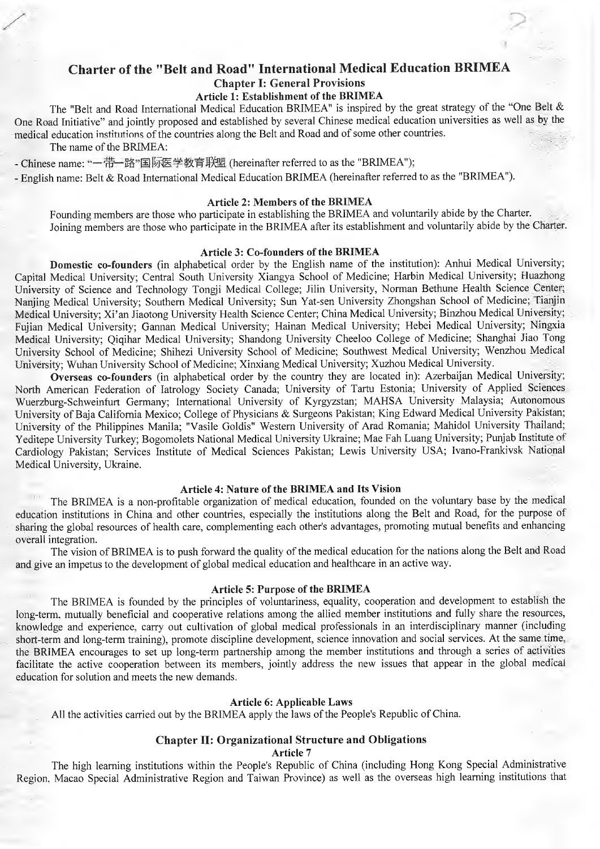# **Charter of the "Belt and Road" International Medical Education BRIMEA Chapter I: General Provisions**

**Article 1: Establishment of the BRIMEA**

The "Belt and Road International Medical Education BRIMEA" is inspired by the great strategy of the "One Belt & One Road Initiative" and jointly proposed and established by several Chinese medical education universities as well as by the medical education institutions of the countries along the Belt and Road and of some other countries.

The name of the BRIMEA:

- Chinese name: "一带一路"国际医学教育联盟 (hereinafter referred to as the "BRIMEA");

- English name: Belt & Road International Medical Education BRIMEA (hereinafter referred to as the "BRIMEA").

# **Article 2: Members of the BRIMEA**

Founding members are those who participate in establishing the BRIMEA and voluntarily abide by the Charter. Joining members are those who participate in the BRIMEA after its establishment and voluntarily abide by the Charter.

#### **Article 3: Co-founders of the BRIMEA**

**Domestic co-founders** (in alphabetical order by the English name of the institution): Anhui Medical University; Capital Medical University; Central South University Xiangya School of Medicine; Harbin Medical University; Huazhong University of Science and Technology Tongji Medical College; Jilin University, Norman Bethune Health Science Center; Nanjing Medical University; Southern Medical University; Sun Yat-sen University Zhongshan School of Medicine; Tianjin Medical University; Xi'an Jiaotong University Health Science Center; China Medical University; Binzhou Medical University; Fujian Medical University; Gannan Medical University; Hainan Medical University; Hebei Medical University; Ningxia Medical University; Qiqihar Medical University; Shandong University Cheeloo College of Medicine; Shanghai Jiao Tong University School of Medicine; Shihezi University School of Medicine; Southwest Medical University; Wenzhou Medical University; Wuhan University School of Medicine; Xinxiang Medical University; Xuzhou Medical University.

**Overseas co-founders** (in alphabetical order by the country they are located in): Azerbaijan Medical University; North American Federation of latrology Society Canada; University of Tartu Estonia; University of Applied Sciences Wuerzburg-Schweinfurt Germany; International University of Kyrgyzstan; MAHSA University Malaysia; Autonomous University of Baja California Mexico; College of Physicians & Surgeons Pakistan; King Edward Medical University Pakistan; University of the Philippines Manila; "Vasile Goldis" Western University of Arad Romania; Mahidol University Thailand; Yeditepe University Turkey; Bogomolets National Medical University Ukraine; Mae Fah Luang University; Punjab Institute of Cardiology Pakistan; Services Institute of Medical Sciences Pakistan; Lewis University USA; Ivano-Frankivsk National Medical University, Ukraine.

## **Article 4: Nature of the BRIMEA and Its Vision**

The BRIMEA is a non-profitable organization of medical education, founded on the voluntary base by the medical education institutions in China and other countries, especially the institutions along the Belt and Road, for the purpose ot sharing the global resources of health care, complementing each other's advantages, promoting mutual benefits and enhancing overall integration.

The vision of BRIMEA is to push forward the quality of the medical education for the nations along the Belt and Road and give an impetus to the development of global medical education and healthcare in an active way.

### **Article 5: Purpose of the BRIMEA**

The BRIMEA is founded by the principles of voluntariness, equality, cooperation and development to establish the long-term, mutually beneficial and cooperative relations among the allied member institutions and fully share the resources, knowledge and experience, carry out cultivation of global medical professionals in an interdisciplinary manner (including short-term and long-term training), promote discipline development, science innovation and social services. At the same time the BRIMEA encourages to set up long-term partnership among the member institutions and through a series of activities facilitate the active cooperation between its members, jointly address the new issues that appear in the global medical education for solution and meets the new demands.

#### **Article 6: Applicable Laws**

All the activities carried out by the BRIMEA apply the laws of the People's Republic of China.

# **і Chapter II: Organizational Structure and Obligations**

#### **Article 7**

The high learning institutions within the People's Republic of China (including Hong Kong Special Administrative Region, Macao Special Administrative Region and Taiwan Province) as well as the overseas high learning institutions that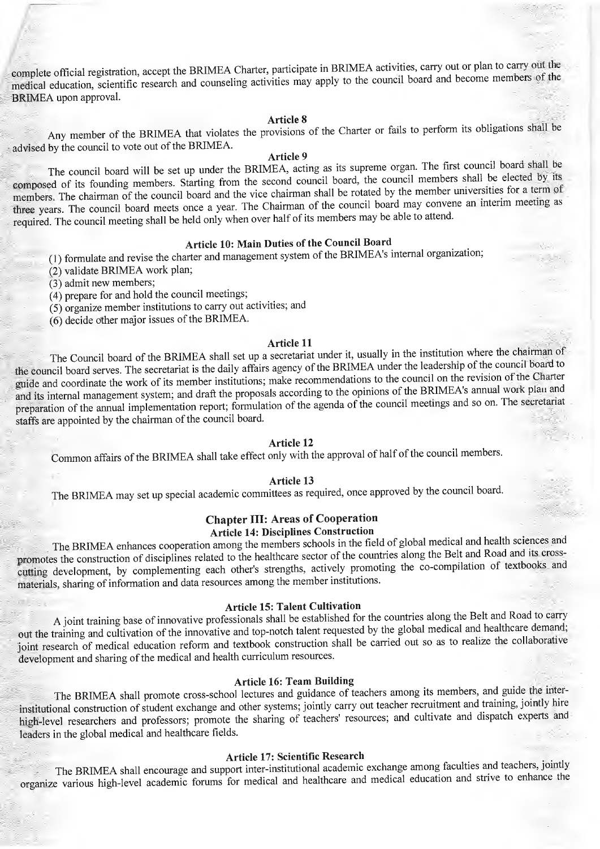complete official registration, accept the BRIMEA Charter, participate in BRIMEA activities, carry out or plan to carry out the medical education, scientific research and counseling activities may apply to the council board and become members of the BRIMEA upon approval.

**Article** 8 . • u n i Any member of the BRIMEA that violates the provisions of the Charter or fails to perform its obligations shall oe advised by the council to vote out of the BRIMEA.

# **Article 9**

The council board will be set up under the BRIMEA, acting as its supreme organ. The first council board shall be composed of its founding members. Starting from the second council board, the council members shall be elected by its members. The chairman of the council board and the vice chairman shall be rotated by the member universities for a term of three years. The council board meets once a year. The Chairman of the council board may convene an interim meeting as required. The council meeting shall be held only when over half of its members may be able to attend.

# **Article 10: Main Duties of the Council Board**

( 1) formulate and revise the charter and management system of the BRlMEA's internal organization;

(2) validate BRIMEA work plan;

(3) admit new members;

- (4) prepare for and hold the council meetings;
- (5) organize member institutions to carry out activities; and
- (6) decide other major issues of the BRIMEA.

## **Article 11**

The Council board of the BRIMEA shall set up a secretariat under it, usually in the institution where the chairman of the council board serves. The secretariat is the daily affairs agency of the BRIMEA under the leadership of the council board to guide and coordinate the work of its member institutions; make recommendations to the council on the revision of the Charter and its internal management system; and draft the proposals according to the opinions of the BRIMEA's annual work plan and preparation of the annual implementation report; formulation of the agenda of the council meetings and so on. The secretariat staffs are appointed by the chairman of the council board.

# **Article 12**

Common affairs of the BRIMEA shall take effect only with the approval of half of the council members.

#### **Article 13 '**

The BRIMEA may set up special academic committees as required, once approved by the council board.

### **Chapter III: Areas of Cooperation**

#### **Article 14: Disciplines Construction**

The BRIMEA enhances cooperation among the members schools in the field of global medical and health sciences and promotes the construction of disciplines related to the healthcare sector of the countries along the Belt and Road and its crosscutting development, by complementing each other's strengths, actively promoting the co-compilation ot textbooks and materials, sharing of information and data resources among the member institutions.

# **Article 15: Talent Cultivation**

A joint training base of innovative professionals shall be established for the countries along the Belt and Road to carry out the training and cultivation of the innovative and top-notch talent requested by the global medical and healthcare demand; joint research of medical education reform and textbook construction shall be carried out so as to realize the collaborative development and sharing of the medical and health curriculum resources.

#### **Article 16: Team Building**

The BRIMEA shall promote cross-school lectures and guidance of teachers among its members, and guide the interinstitutional construction of student exchange and other systems; jointly carry out teacher recruitment and ttaining, jointly hire high-level researchers and professors; promote the sharing of teachers' resources; and cultivate and dispatch experts and leaders in the global medical and healthcare fields.

#### **" ' Article 17: Scientific Research . . .**

The BRIMEA shall encourage and support inter-institutional academic exchange among faculties and teachers, jointy organize various high-level academic forums for medical and healthcare and medical education and strive to enhance the